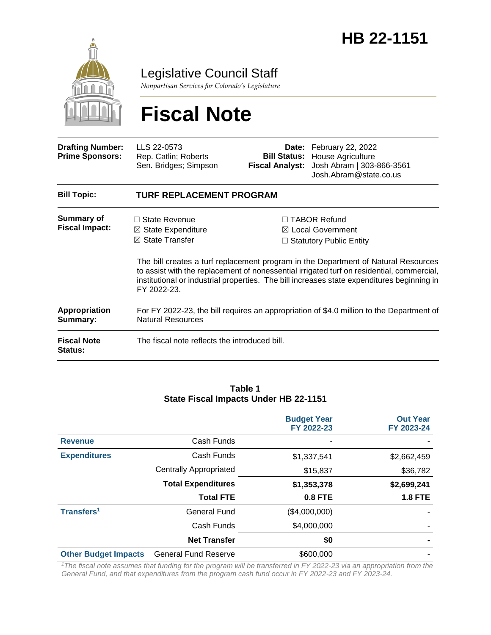

Legislative Council Staff

*Nonpartisan Services for Colorado's Legislature*

# **Fiscal Note**

| <b>Drafting Number:</b><br><b>Prime Sponsors:</b> | LLS 22-0573<br>Rep. Catlin; Roberts<br>Sen. Bridges; Simpson                                                         | <b>Bill Status:</b><br><b>Fiscal Analyst:</b> | <b>Date:</b> February 22, 2022<br>House Agriculture<br>Josh Abram   303-866-3561<br>Josh.Abram@state.co.us                                                                                                                                                                                                                                                             |  |  |
|---------------------------------------------------|----------------------------------------------------------------------------------------------------------------------|-----------------------------------------------|------------------------------------------------------------------------------------------------------------------------------------------------------------------------------------------------------------------------------------------------------------------------------------------------------------------------------------------------------------------------|--|--|
| <b>Bill Topic:</b>                                | <b>TURF REPLACEMENT PROGRAM</b>                                                                                      |                                               |                                                                                                                                                                                                                                                                                                                                                                        |  |  |
| <b>Summary of</b><br><b>Fiscal Impact:</b>        | $\Box$ State Revenue<br>$\boxtimes$ State Expenditure<br>$\boxtimes$ State Transfer<br>FY 2022-23.                   |                                               | $\Box$ TABOR Refund<br>$\boxtimes$ Local Government<br>$\Box$ Statutory Public Entity<br>The bill creates a turf replacement program in the Department of Natural Resources<br>to assist with the replacement of nonessential irrigated turf on residential, commercial,<br>institutional or industrial properties. The bill increases state expenditures beginning in |  |  |
| <b>Appropriation</b><br>Summary:                  | For FY 2022-23, the bill requires an appropriation of \$4.0 million to the Department of<br><b>Natural Resources</b> |                                               |                                                                                                                                                                                                                                                                                                                                                                        |  |  |
| <b>Fiscal Note</b><br><b>Status:</b>              | The fiscal note reflects the introduced bill.                                                                        |                                               |                                                                                                                                                                                                                                                                                                                                                                        |  |  |

#### **Table 1 State Fiscal Impacts Under HB 22-1151**

|                             |                               | <b>Budget Year</b><br>FY 2022-23 | <b>Out Year</b><br>FY 2023-24 |
|-----------------------------|-------------------------------|----------------------------------|-------------------------------|
| <b>Revenue</b>              | Cash Funds                    |                                  |                               |
| <b>Expenditures</b>         | Cash Funds                    | \$1,337,541                      | \$2,662,459                   |
|                             | <b>Centrally Appropriated</b> | \$15,837                         | \$36,782                      |
|                             | <b>Total Expenditures</b>     | \$1,353,378                      | \$2,699,241                   |
|                             | <b>Total FTE</b>              | <b>0.8 FTE</b>                   | <b>1.8 FTE</b>                |
| Transfers <sup>1</sup>      | General Fund                  | (\$4,000,000)                    |                               |
|                             | Cash Funds                    | \$4,000,000                      |                               |
|                             | <b>Net Transfer</b>           | \$0                              |                               |
| <b>Other Budget Impacts</b> | <b>General Fund Reserve</b>   | \$600,000                        |                               |

*<sup>1</sup>The fiscal note assumes that funding for the program will be transferred in FY 2022-23 via an appropriation from the General Fund, and that expenditures from the program cash fund occur in FY 2022-23 and FY 2023-24.*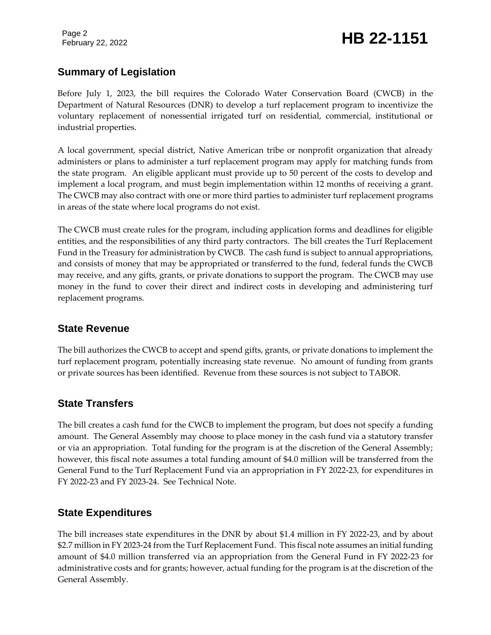Page 2

## February 22, 2022 **HB 22-1151**

### **Summary of Legislation**

Before July 1, 2023, the bill requires the Colorado Water Conservation Board (CWCB) in the Department of Natural Resources (DNR) to develop a turf replacement program to incentivize the voluntary replacement of nonessential irrigated turf on residential, commercial, institutional or industrial properties.

A local government, special district, Native American tribe or nonprofit organization that already administers or plans to administer a turf replacement program may apply for matching funds from the state program. An eligible applicant must provide up to 50 percent of the costs to develop and implement a local program, and must begin implementation within 12 months of receiving a grant. The CWCB may also contract with one or more third parties to administer turf replacement programs in areas of the state where local programs do not exist.

The CWCB must create rules for the program, including application forms and deadlines for eligible entities, and the responsibilities of any third party contractors. The bill creates the Turf Replacement Fund in the Treasury for administration by CWCB. The cash fund is subject to annual appropriations, and consists of money that may be appropriated or transferred to the fund, federal funds the CWCB may receive, and any gifts, grants, or private donations to support the program. The CWCB may use money in the fund to cover their direct and indirect costs in developing and administering turf replacement programs.

### **State Revenue**

The bill authorizes the CWCB to accept and spend gifts, grants, or private donations to implement the turf replacement program, potentially increasing state revenue. No amount of funding from grants or private sources has been identified. Revenue from these sources is not subject to TABOR.

### **State Transfers**

The bill creates a cash fund for the CWCB to implement the program, but does not specify a funding amount. The General Assembly may choose to place money in the cash fund via a statutory transfer or via an appropriation. Total funding for the program is at the discretion of the General Assembly; however, this fiscal note assumes a total funding amount of \$4.0 million will be transferred from the General Fund to the Turf Replacement Fund via an appropriation in FY 2022-23, for expenditures in FY 2022-23 and FY 2023-24. See Technical Note.

### **State Expenditures**

The bill increases state expenditures in the DNR by about \$1.4 million in FY 2022-23, and by about \$2.7 million in FY 2023-24 from the Turf Replacement Fund. This fiscal note assumes an initial funding amount of \$4.0 million transferred via an appropriation from the General Fund in FY 2022-23 for administrative costs and for grants; however, actual funding for the program is at the discretion of the General Assembly.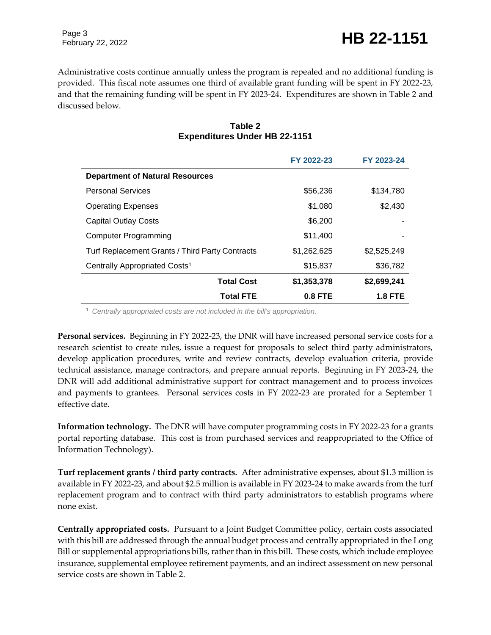Page 3

Administrative costs continue annually unless the program is repealed and no additional funding is provided. This fiscal note assumes one third of available grant funding will be spent in FY 2022-23, and that the remaining funding will be spent in FY 2023-24. Expenditures are shown in Table 2 and discussed below.

|                                                 | FY 2022-23  | FY 2023-24     |
|-------------------------------------------------|-------------|----------------|
| <b>Department of Natural Resources</b>          |             |                |
| <b>Personal Services</b>                        | \$56,236    | \$134,780      |
| <b>Operating Expenses</b>                       | \$1,080     | \$2,430        |
| <b>Capital Outlay Costs</b>                     | \$6,200     |                |
| <b>Computer Programming</b>                     | \$11,400    |                |
| Turf Replacement Grants / Third Party Contracts | \$1,262,625 | \$2,525,249    |
| Centrally Appropriated Costs <sup>1</sup>       | \$15,837    | \$36,782       |
| <b>Total Cost</b>                               | \$1,353,378 | \$2,699,241    |
| <b>Total FTE</b>                                | 0.8 FTE     | <b>1.8 FTE</b> |

#### **Table 2 Expenditures Under HB 22-1151**

<sup>1</sup> *Centrally appropriated costs are not included in the bill's appropriation.*

**Personal services.** Beginning in FY 2022-23, the DNR will have increased personal service costs for a research scientist to create rules, issue a request for proposals to select third party administrators, develop application procedures, write and review contracts, develop evaluation criteria, provide technical assistance, manage contractors, and prepare annual reports. Beginning in FY 2023-24, the DNR will add additional administrative support for contract management and to process invoices and payments to grantees. Personal services costs in FY 2022-23 are prorated for a September 1 effective date.

**Information technology.** The DNR will have computer programming costs in FY 2022-23 for a grants portal reporting database. This cost is from purchased services and reappropriated to the Office of Information Technology).

**Turf replacement grants / third party contracts.** After administrative expenses, about \$1.3 million is available in FY 2022-23, and about \$2.5 million is available in FY 2023-24 to make awards from the turf replacement program and to contract with third party administrators to establish programs where none exist.

**Centrally appropriated costs.** Pursuant to a Joint Budget Committee policy, certain costs associated with this bill are addressed through the annual budget process and centrally appropriated in the Long Bill or supplemental appropriations bills, rather than in this bill. These costs, which include employee insurance, supplemental employee retirement payments, and an indirect assessment on new personal service costs are shown in Table 2.